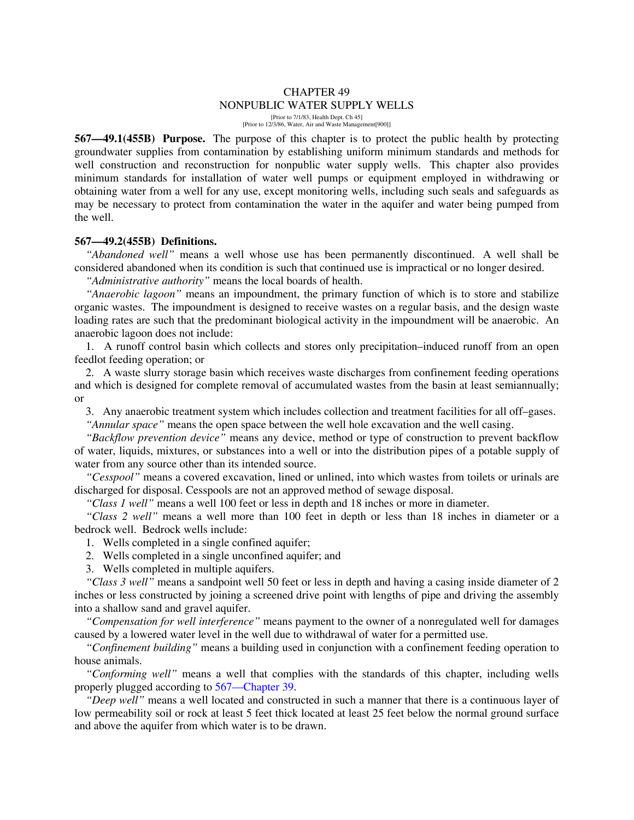# CHAPTER 49 NONPUBLIC WATER SUPPLY WELLS

[Prior to 7/1/83, Health Dept. Ch 45] [Prior to 12/3/86, Water, Air and Waste Management[900]]

**567—49.1(455B) Purpose.** The purpose of this chapter is to protect the public health by protecting groundwater supplies from contamination by establishing uniform minimum standards and methods for well construction and reconstruction for nonpublic water supply wells. This chapter also provides minimum standards for installation of water well pumps or equipment employed in withdrawing or obtaining water from a well for any use, except monitoring wells, including such seals and safeguards as may be necessary to protect from contamination the water in the aquifer and water being pumped from the well.

#### **567—49.2(455B) Definitions.**

*"Abandoned well"* means a well whose use has been permanently discontinued. A well shall be considered abandoned when its condition is such that continued use is impractical or no longer desired.

*"Administrative authority"* means the local boards of health.

*"Anaerobic lagoon"* means an impoundment, the primary function of which is to store and stabilize organic wastes. The impoundment is designed to receive wastes on a regular basis, and the design waste loading rates are such that the predominant biological activity in the impoundment will be anaerobic. An anaerobic lagoon does not include:

1. A runoff control basin which collects and stores only precipitation–induced runoff from an open feedlot feeding operation; or

2. A waste slurry storage basin which receives waste discharges from confinement feeding operations and which is designed for complete removal of accumulated wastes from the basin at least semiannually; or

3. Any anaerobic treatment system which includes collection and treatment facilities for all off–gases.

*"Annular space"* means the open space between the well hole excavation and the well casing.

*"Backflow prevention device"* means any device, method or type of construction to prevent backflow of water, liquids, mixtures, or substances into a well or into the distribution pipes of a potable supply of water from any source other than its intended source.

*"Cesspool"* means a covered excavation, lined or unlined, into which wastes from toilets or urinals are discharged for disposal. Cesspools are not an approved method of sewage disposal.

*"Class 1 well"* means a well 100 feet or less in depth and 18 inches or more in diameter.

*"Class 2 well"* means a well more than 100 feet in depth or less than 18 inches in diameter or a bedrock well. Bedrock wells include:

- 1. Wells completed in a single confined aquifer;
- 2. Wells completed in a single unconfined aquifer; and

3. Wells completed in multiple aquifers.

*"Class 3 well"* means a sandpoint well 50 feet or less in depth and having a casing inside diameter of 2 inches or less constructed by joining a screened drive point with lengths of pipe and driving the assembly into a shallow sand and gravel aquifer.

*"Compensation for well interference"* means payment to the owner of a nonregulated well for damages caused by a lowered water level in the well due to withdrawal of water for a permitted use.

*"Confinement building"* means a building used in conjunction with a confinement feeding operation to house animals.

*"Conforming well"* means a well that complies with the standards of this chapter, including wells properly plugged according to 567—Chapter 39.

*"Deep well"* means a well located and constructed in such a manner that there is a continuous layer of low permeability soil or rock at least 5 feet thick located at least 25 feet below the normal ground surface and above the aquifer from which water is to be drawn.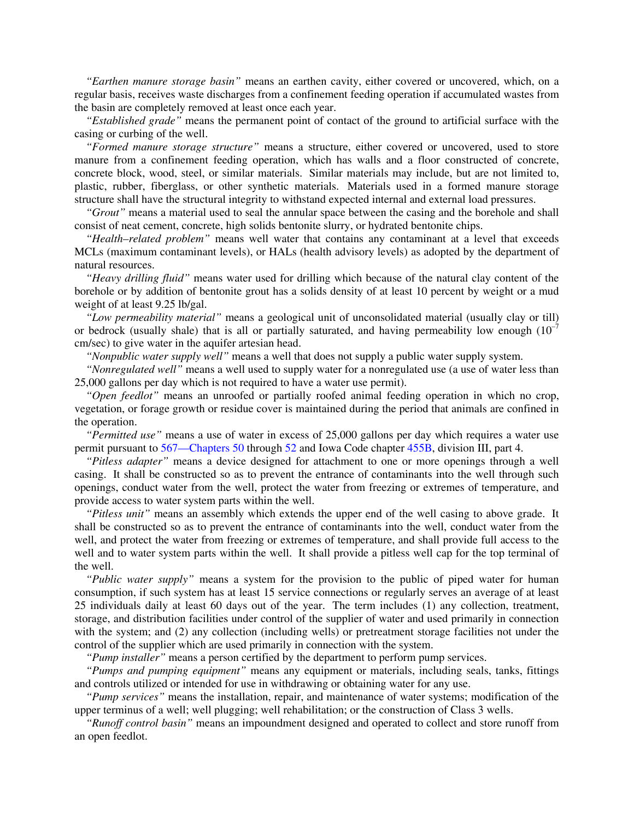*"Earthen manure storage basin"* means an earthen cavity, either covered or uncovered, which, on a regular basis, receives waste discharges from a confinement feeding operation if accumulated wastes from the basin are completely removed at least once each year.

*"Established grade"* means the permanent point of contact of the ground to artificial surface with the casing or curbing of the well.

*"Formed manure storage structure"* means a structure, either covered or uncovered, used to store manure from a confinement feeding operation, which has walls and a floor constructed of concrete, concrete block, wood, steel, or similar materials. Similar materials may include, but are not limited to, plastic, rubber, fiberglass, or other synthetic materials. Materials used in a formed manure storage structure shall have the structural integrity to withstand expected internal and external load pressures.

*"Grout"* means a material used to seal the annular space between the casing and the borehole and shall consist of neat cement, concrete, high solids bentonite slurry, or hydrated bentonite chips.

*"Health–related problem"* means well water that contains any contaminant at a level that exceeds MCLs (maximum contaminant levels), or HALs (health advisory levels) as adopted by the department of natural resources.

*"Heavy drilling fluid"* means water used for drilling which because of the natural clay content of the borehole or by addition of bentonite grout has a solids density of at least 10 percent by weight or a mud weight of at least 9.25 lb/gal.

*"Low permeability material"* means a geological unit of unconsolidated material (usually clay or till) or bedrock (usually shale) that is all or partially saturated, and having permeability low enough  $(10^{-7})$ cm/sec) to give water in the aquifer artesian head.

*"Nonpublic water supply well"* means a well that does not supply a public water supply system.

*"Nonregulated well"* means a well used to supply water for a nonregulated use (a use of water less than 25,000 gallons per day which is not required to have a water use permit).

*"Open feedlot"* means an unroofed or partially roofed animal feeding operation in which no crop, vegetation, or forage growth or residue cover is maintained during the period that animals are confined in the operation.

*"Permitted use"* means a use of water in excess of 25,000 gallons per day which requires a water use permit pursuant to 567—Chapters 50 through 52 and Iowa Code chapter 455B, division III, part 4.

*"Pitless adapter"* means a device designed for attachment to one or more openings through a well casing. It shall be constructed so as to prevent the entrance of contaminants into the well through such openings, conduct water from the well, protect the water from freezing or extremes of temperature, and provide access to water system parts within the well.

*"Pitless unit"* means an assembly which extends the upper end of the well casing to above grade. It shall be constructed so as to prevent the entrance of contaminants into the well, conduct water from the well, and protect the water from freezing or extremes of temperature, and shall provide full access to the well and to water system parts within the well. It shall provide a pitless well cap for the top terminal of the well.

*"Public water supply"* means a system for the provision to the public of piped water for human consumption, if such system has at least 15 service connections or regularly serves an average of at least 25 individuals daily at least 60 days out of the year. The term includes (1) any collection, treatment, storage, and distribution facilities under control of the supplier of water and used primarily in connection with the system; and (2) any collection (including wells) or pretreatment storage facilities not under the control of the supplier which are used primarily in connection with the system.

*"Pump installer"* means a person certified by the department to perform pump services.

*"Pumps and pumping equipment"* means any equipment or materials, including seals, tanks, fittings and controls utilized or intended for use in withdrawing or obtaining water for any use.

*"Pump services"* means the installation, repair, and maintenance of water systems; modification of the upper terminus of a well; well plugging; well rehabilitation; or the construction of Class 3 wells.

*"Runoff control basin"* means an impoundment designed and operated to collect and store runoff from an open feedlot.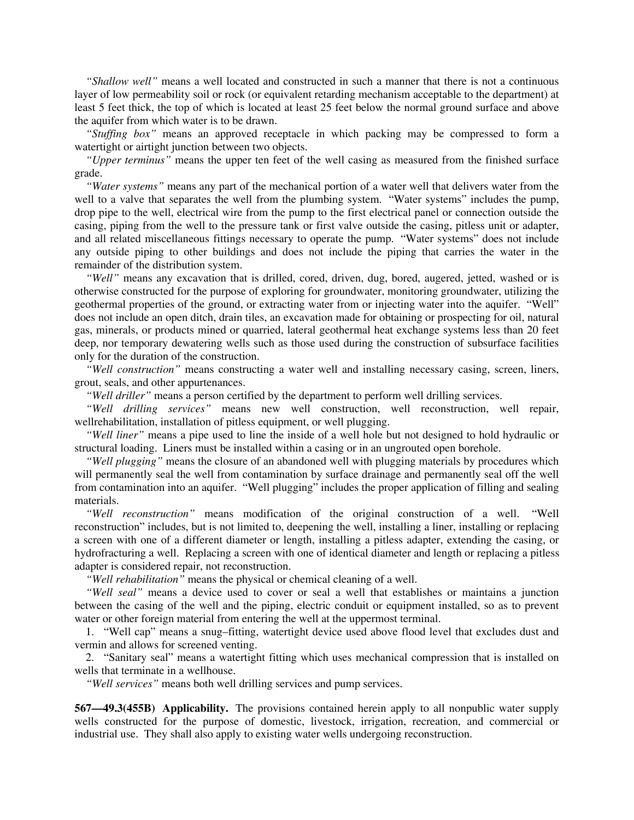*"Shallow well"* means a well located and constructed in such a manner that there is not a continuous layer of low permeability soil or rock (or equivalent retarding mechanism acceptable to the department) at least 5 feet thick, the top of which is located at least 25 feet below the normal ground surface and above the aquifer from which water is to be drawn.

*"Stuffing box"* means an approved receptacle in which packing may be compressed to form a watertight or airtight junction between two objects.

*"Upper terminus"* means the upper ten feet of the well casing as measured from the finished surface grade.

*"Water systems"* means any part of the mechanical portion of a water well that delivers water from the well to a valve that separates the well from the plumbing system. "Water systems" includes the pump, drop pipe to the well, electrical wire from the pump to the first electrical panel or connection outside the casing, piping from the well to the pressure tank or first valve outside the casing, pitless unit or adapter, and all related miscellaneous fittings necessary to operate the pump. "Water systems" does not include any outside piping to other buildings and does not include the piping that carries the water in the remainder of the distribution system.

*"Well"* means any excavation that is drilled, cored, driven, dug, bored, augered, jetted, washed or is otherwise constructed for the purpose of exploring for groundwater, monitoring groundwater, utilizing the geothermal properties of the ground, or extracting water from or injecting water into the aquifer. "Well" does not include an open ditch, drain tiles, an excavation made for obtaining or prospecting for oil, natural gas, minerals, or products mined or quarried, lateral geothermal heat exchange systems less than 20 feet deep, nor temporary dewatering wells such as those used during the construction of subsurface facilities only for the duration of the construction.

*"Well construction"* means constructing a water well and installing necessary casing, screen, liners, grout, seals, and other appurtenances.

*"Well driller"* means a person certified by the department to perform well drilling services.

*"Well drilling services"* means new well construction, well reconstruction, well repair, wellrehabilitation, installation of pitless equipment, or well plugging.

*"Well liner"* means a pipe used to line the inside of a well hole but not designed to hold hydraulic or structural loading. Liners must be installed within a casing or in an ungrouted open borehole.

*"Well plugging"* means the closure of an abandoned well with plugging materials by procedures which will permanently seal the well from contamination by surface drainage and permanently seal off the well from contamination into an aquifer. "Well plugging" includes the proper application of filling and sealing materials.

*"Well reconstruction"* means modification of the original construction of a well. "Well reconstruction" includes, but is not limited to, deepening the well, installing a liner, installing or replacing a screen with one of a different diameter or length, installing a pitless adapter, extending the casing, or hydrofracturing a well. Replacing a screen with one of identical diameter and length or replacing a pitless adapter is considered repair, not reconstruction.

*"Well rehabilitation"* means the physical or chemical cleaning of a well.

*"Well seal"* means a device used to cover or seal a well that establishes or maintains a junction between the casing of the well and the piping, electric conduit or equipment installed, so as to prevent water or other foreign material from entering the well at the uppermost terminal.

1. "Well cap" means a snug–fitting, watertight device used above flood level that excludes dust and vermin and allows for screened venting.

2. "Sanitary seal" means a watertight fitting which uses mechanical compression that is installed on wells that terminate in a wellhouse.

*"Well services"* means both well drilling services and pump services.

**567—49.3(455B) Applicability.** The provisions contained herein apply to all nonpublic water supply wells constructed for the purpose of domestic, livestock, irrigation, recreation, and commercial or industrial use. They shall also apply to existing water wells undergoing reconstruction.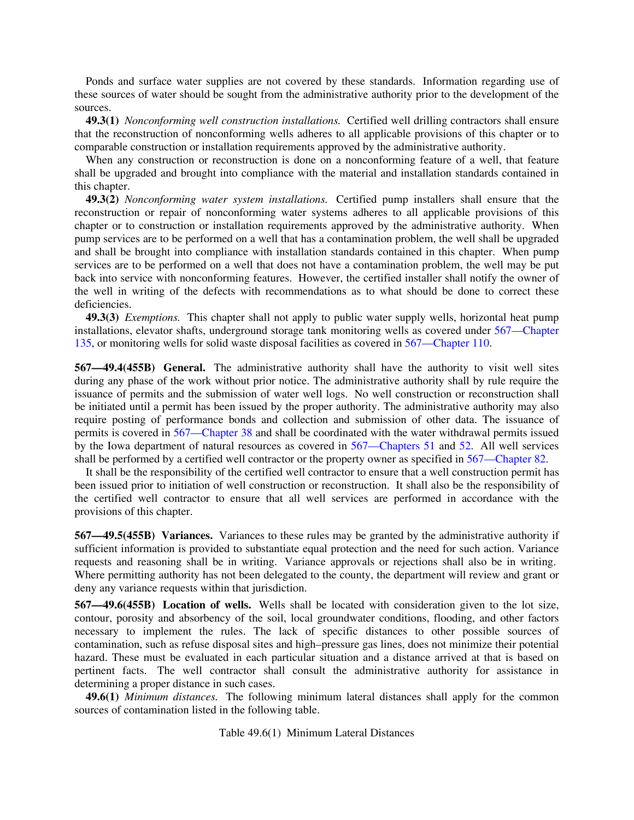Ponds and surface water supplies are not covered by these standards. Information regarding use of these sources of water should be sought from the administrative authority prior to the development of the sources.

**49.3(1)** *Nonconforming well construction installations.* Certified well drilling contractors shall ensure that the reconstruction of nonconforming wells adheres to all applicable provisions of this chapter or to comparable construction or installation requirements approved by the administrative authority.

When any construction or reconstruction is done on a nonconforming feature of a well, that feature shall be upgraded and brought into compliance with the material and installation standards contained in this chapter.

**49.3(2)** *Nonconforming water system installations.* Certified pump installers shall ensure that the reconstruction or repair of nonconforming water systems adheres to all applicable provisions of this chapter or to construction or installation requirements approved by the administrative authority. When pump services are to be performed on a well that has a contamination problem, the well shall be upgraded and shall be brought into compliance with installation standards contained in this chapter. When pump services are to be performed on a well that does not have a contamination problem, the well may be put back into service with nonconforming features. However, the certified installer shall notify the owner of the well in writing of the defects with recommendations as to what should be done to correct these deficiencies.

**49.3(3)** *Exemptions.* This chapter shall not apply to public water supply wells, horizontal heat pump installations, elevator shafts, underground storage tank monitoring wells as covered under 567—Chapter 135, or monitoring wells for solid waste disposal facilities as covered in 567—Chapter 110.

**567—49.4(455B) General.** The administrative authority shall have the authority to visit well sites during any phase of the work without prior notice. The administrative authority shall by rule require the issuance of permits and the submission of water well logs. No well construction or reconstruction shall be initiated until a permit has been issued by the proper authority. The administrative authority may also require posting of performance bonds and collection and submission of other data. The issuance of permits is covered in 567—Chapter 38 and shall be coordinated with the water withdrawal permits issued by the Iowa department of natural resources as covered in 567—Chapters 51 and 52. All well services shall be performed by a certified well contractor or the property owner as specified in 567—Chapter 82.

It shall be the responsibility of the certified well contractor to ensure that a well construction permit has been issued prior to initiation of well construction or reconstruction. It shall also be the responsibility of the certified well contractor to ensure that all well services are performed in accordance with the provisions of this chapter.

**567—49.5(455B) Variances.** Variances to these rules may be granted by the administrative authority if sufficient information is provided to substantiate equal protection and the need for such action. Variance requests and reasoning shall be in writing. Variance approvals or rejections shall also be in writing. Where permitting authority has not been delegated to the county, the department will review and grant or deny any variance requests within that jurisdiction.

**567—49.6(455B) Location of wells.** Wells shall be located with consideration given to the lot size, contour, porosity and absorbency of the soil, local groundwater conditions, flooding, and other factors necessary to implement the rules. The lack of specific distances to other possible sources of contamination, such as refuse disposal sites and high–pressure gas lines, does not minimize their potential hazard. These must be evaluated in each particular situation and a distance arrived at that is based on pertinent facts. The well contractor shall consult the administrative authority for assistance in determining a proper distance in such cases.

**49.6(1)** *Minimum distances.* The following minimum lateral distances shall apply for the common sources of contamination listed in the following table.

Table 49.6(1) Minimum Lateral Distances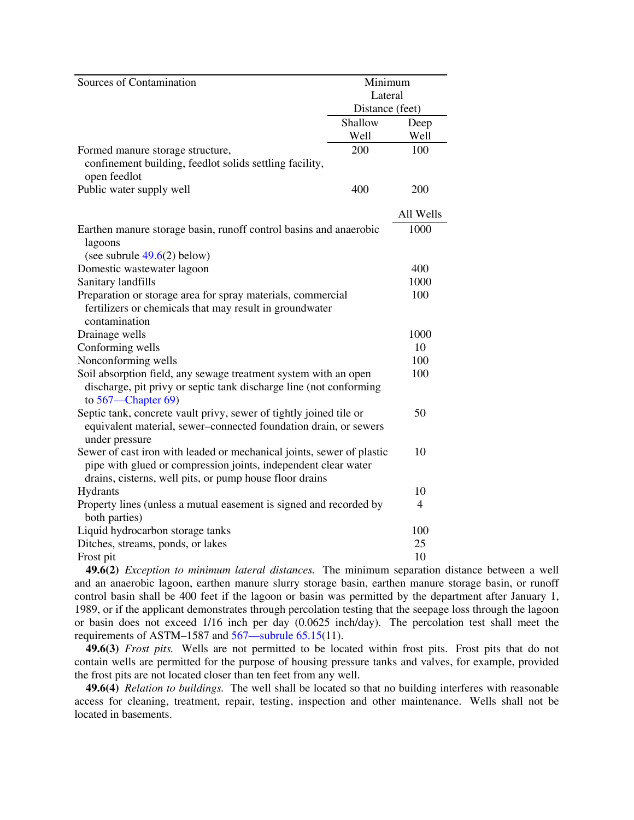| Sources of Contamination                                              | Minimum         |                |
|-----------------------------------------------------------------------|-----------------|----------------|
|                                                                       | Lateral         |                |
|                                                                       | Distance (feet) |                |
|                                                                       | Shallow         | Deep           |
|                                                                       | Well            | Well           |
| Formed manure storage structure,                                      | 200             | 100            |
| confinement building, feedlot solids settling facility,               |                 |                |
| open feedlot                                                          |                 |                |
| Public water supply well                                              | 400             | 200            |
|                                                                       |                 |                |
|                                                                       |                 | All Wells      |
| Earthen manure storage basin, runoff control basins and anaerobic     |                 | 1000           |
| lagoons                                                               |                 |                |
| (see subrule $49.6(2)$ below)                                         |                 |                |
| Domestic wastewater lagoon                                            |                 | 400            |
| Sanitary landfills                                                    |                 | 1000           |
| Preparation or storage area for spray materials, commercial           |                 | 100            |
| fertilizers or chemicals that may result in groundwater               |                 |                |
| contamination                                                         |                 |                |
| Drainage wells                                                        |                 | 1000           |
| Conforming wells                                                      |                 | 10             |
| Nonconforming wells                                                   |                 | 100            |
| Soil absorption field, any sewage treatment system with an open       |                 | 100            |
| discharge, pit privy or septic tank discharge line (not conforming    |                 |                |
| to $567$ —Chapter 69)                                                 |                 |                |
| Septic tank, concrete vault privy, sewer of tightly joined tile or    |                 | 50             |
| equivalent material, sewer-connected foundation drain, or sewers      |                 |                |
| under pressure                                                        |                 |                |
| Sewer of cast iron with leaded or mechanical joints, sewer of plastic |                 | 10             |
| pipe with glued or compression joints, independent clear water        |                 |                |
| drains, cisterns, well pits, or pump house floor drains               |                 |                |
| Hydrants                                                              |                 | 10             |
| Property lines (unless a mutual easement is signed and recorded by    |                 | $\overline{4}$ |
| both parties)                                                         |                 |                |
| Liquid hydrocarbon storage tanks                                      |                 | 100            |
| Ditches, streams, ponds, or lakes                                     |                 | 25             |
| Frost pit                                                             |                 | 10             |

**49.6(2)** *Exception to minimum lateral distances.* The minimum separation distance between a well and an anaerobic lagoon, earthen manure slurry storage basin, earthen manure storage basin, or runoff control basin shall be 400 feet if the lagoon or basin was permitted by the department after January 1, 1989, or if the applicant demonstrates through percolation testing that the seepage loss through the lagoon or basin does not exceed 1/16 inch per day (0.0625 inch/day). The percolation test shall meet the requirements of ASTM–1587 and 567—subrule 65.15(11).

**49.6(3)** *Frost pits.* Wells are not permitted to be located within frost pits. Frost pits that do not contain wells are permitted for the purpose of housing pressure tanks and valves, for example, provided the frost pits are not located closer than ten feet from any well.

**49.6(4)** *Relation to buildings.* The well shall be located so that no building interferes with reasonable access for cleaning, treatment, repair, testing, inspection and other maintenance. Wells shall not be located in basements.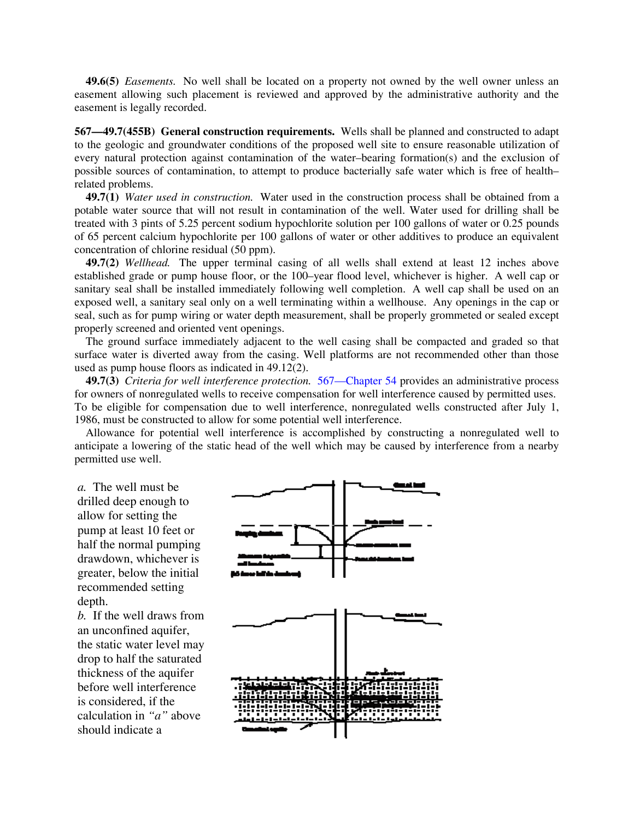**49.6(5)** *Easements.* No well shall be located on a property not owned by the well owner unless an easement allowing such placement is reviewed and approved by the administrative authority and the easement is legally recorded.

**567—49.7(455B) General construction requirements.** Wells shall be planned and constructed to adapt to the geologic and groundwater conditions of the proposed well site to ensure reasonable utilization of every natural protection against contamination of the water–bearing formation(s) and the exclusion of possible sources of contamination, to attempt to produce bacterially safe water which is free of health– related problems.

**49.7(1)** *Water used in construction.* Water used in the construction process shall be obtained from a potable water source that will not result in contamination of the well. Water used for drilling shall be treated with 3 pints of 5.25 percent sodium hypochlorite solution per 100 gallons of water or 0.25 pounds of 65 percent calcium hypochlorite per 100 gallons of water or other additives to produce an equivalent concentration of chlorine residual (50 ppm).

**49.7(2)** *Wellhead.* The upper terminal casing of all wells shall extend at least 12 inches above established grade or pump house floor, or the 100–year flood level, whichever is higher. A well cap or sanitary seal shall be installed immediately following well completion. A well cap shall be used on an exposed well, a sanitary seal only on a well terminating within a wellhouse. Any openings in the cap or seal, such as for pump wiring or water depth measurement, shall be properly grommeted or sealed except properly screened and oriented vent openings.

The ground surface immediately adjacent to the well casing shall be compacted and graded so that surface water is diverted away from the casing. Well platforms are not recommended other than those used as pump house floors as indicated in 49.12(2).

**49.7(3)** *Criteria for well interference protection.* 567—Chapter 54 provides an administrative process for owners of nonregulated wells to receive compensation for well interference caused by permitted uses. To be eligible for compensation due to well interference, nonregulated wells constructed after July 1, 1986, must be constructed to allow for some potential well interference.

Allowance for potential well interference is accomplished by constructing a nonregulated well to anticipate a lowering of the static head of the well which may be caused by interference from a nearby permitted use well.

*a.* The well must be drilled deep enough to allow for setting the pump at least 10 feet or half the normal pumping drawdown, whichever is greater, below the initial recommended setting depth.

*b.* If the well draws from an unconfined aquifer, the static water level may drop to half the saturated thickness of the aquifer before well interference is considered, if the calculation in *"a"* above should indicate a

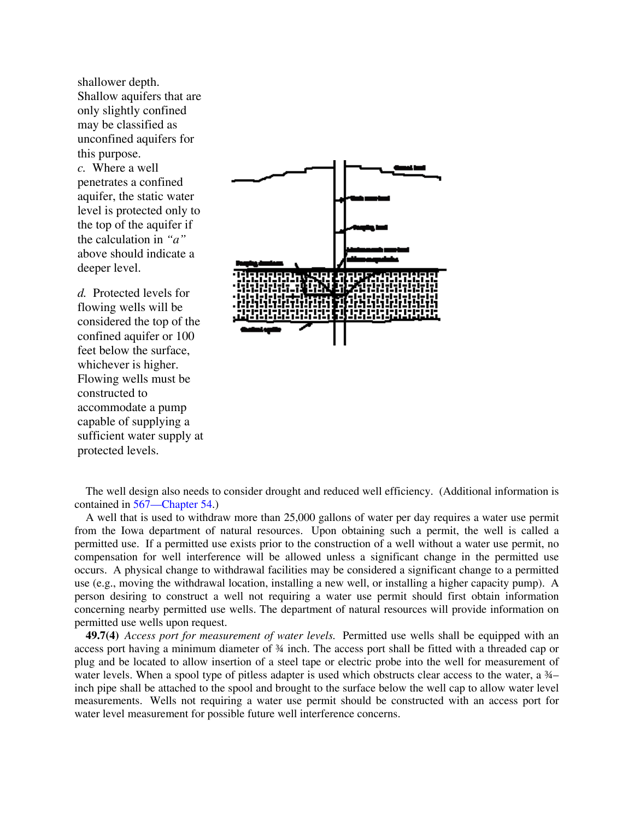shallower depth. Shallow aquifers that are only slightly confined may be classified as unconfined aquifers for this purpose. *c.* Where a well penetrates a confined aquifer, the static water level is protected only to the top of the aquifer if the calculation in *"a"* above should indicate a deeper level.

*d.* Protected levels for flowing wells will be considered the top of the confined aquifer or 100 feet below the surface, whichever is higher. Flowing wells must be constructed to accommodate a pump capable of supplying a sufficient water supply at protected levels.



The well design also needs to consider drought and reduced well efficiency. (Additional information is contained in 567—Chapter 54.)

A well that is used to withdraw more than 25,000 gallons of water per day requires a water use permit from the Iowa department of natural resources. Upon obtaining such a permit, the well is called a permitted use. If a permitted use exists prior to the construction of a well without a water use permit, no compensation for well interference will be allowed unless a significant change in the permitted use occurs. A physical change to withdrawal facilities may be considered a significant change to a permitted use (e.g., moving the withdrawal location, installing a new well, or installing a higher capacity pump). A person desiring to construct a well not requiring a water use permit should first obtain information concerning nearby permitted use wells. The department of natural resources will provide information on permitted use wells upon request.

**49.7(4)** *Access port for measurement of water levels.* Permitted use wells shall be equipped with an access port having a minimum diameter of ¾ inch. The access port shall be fitted with a threaded cap or plug and be located to allow insertion of a steel tape or electric probe into the well for measurement of water levels. When a spool type of pitless adapter is used which obstructs clear access to the water, a 3⁄4– inch pipe shall be attached to the spool and brought to the surface below the well cap to allow water level measurements. Wells not requiring a water use permit should be constructed with an access port for water level measurement for possible future well interference concerns.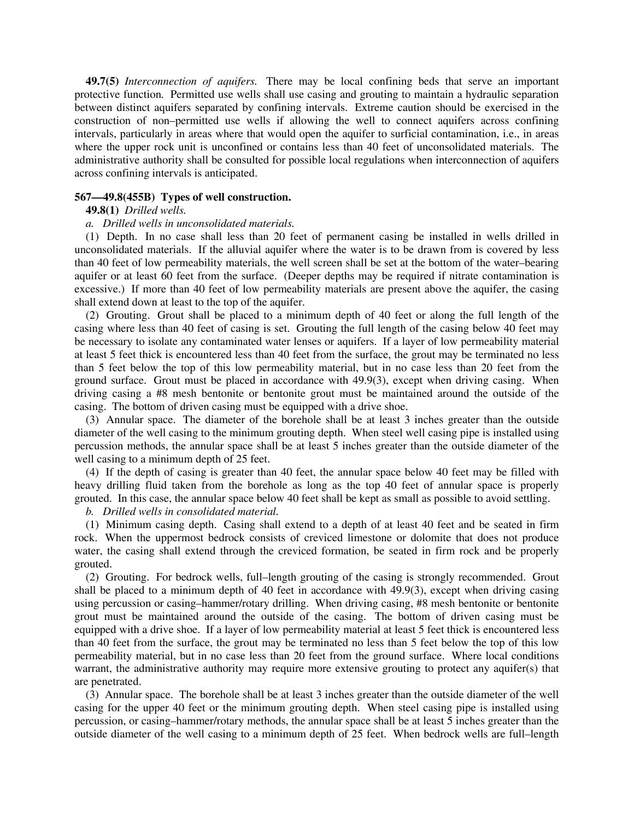**49.7(5)** *Interconnection of aquifers.* There may be local confining beds that serve an important protective function*.* Permitted use wells shall use casing and grouting to maintain a hydraulic separation between distinct aquifers separated by confining intervals. Extreme caution should be exercised in the construction of non–permitted use wells if allowing the well to connect aquifers across confining intervals, particularly in areas where that would open the aquifer to surficial contamination, i.e., in areas where the upper rock unit is unconfined or contains less than 40 feet of unconsolidated materials. The administrative authority shall be consulted for possible local regulations when interconnection of aquifers across confining intervals is anticipated.

## **567—49.8(455B) Types of well construction.**

# **49.8(1)** *Drilled wells.*

# *a. Drilled wells in unconsolidated materials.*

(1) Depth. In no case shall less than 20 feet of permanent casing be installed in wells drilled in unconsolidated materials. If the alluvial aquifer where the water is to be drawn from is covered by less than 40 feet of low permeability materials, the well screen shall be set at the bottom of the water–bearing aquifer or at least 60 feet from the surface. (Deeper depths may be required if nitrate contamination is excessive.) If more than 40 feet of low permeability materials are present above the aquifer, the casing shall extend down at least to the top of the aquifer.

(2) Grouting. Grout shall be placed to a minimum depth of 40 feet or along the full length of the casing where less than 40 feet of casing is set. Grouting the full length of the casing below 40 feet may be necessary to isolate any contaminated water lenses or aquifers. If a layer of low permeability material at least 5 feet thick is encountered less than 40 feet from the surface, the grout may be terminated no less than 5 feet below the top of this low permeability material, but in no case less than 20 feet from the ground surface. Grout must be placed in accordance with 49.9(3), except when driving casing. When driving casing a #8 mesh bentonite or bentonite grout must be maintained around the outside of the casing. The bottom of driven casing must be equipped with a drive shoe.

(3) Annular space. The diameter of the borehole shall be at least 3 inches greater than the outside diameter of the well casing to the minimum grouting depth. When steel well casing pipe is installed using percussion methods, the annular space shall be at least 5 inches greater than the outside diameter of the well casing to a minimum depth of 25 feet.

(4) If the depth of casing is greater than 40 feet, the annular space below 40 feet may be filled with heavy drilling fluid taken from the borehole as long as the top 40 feet of annular space is properly grouted. In this case, the annular space below 40 feet shall be kept as small as possible to avoid settling.

*b. Drilled wells in consolidated material.*

(1) Minimum casing depth. Casing shall extend to a depth of at least 40 feet and be seated in firm rock. When the uppermost bedrock consists of creviced limestone or dolomite that does not produce water, the casing shall extend through the creviced formation, be seated in firm rock and be properly grouted.

(2) Grouting. For bedrock wells, full–length grouting of the casing is strongly recommended. Grout shall be placed to a minimum depth of 40 feet in accordance with 49.9(3), except when driving casing using percussion or casing–hammer/rotary drilling. When driving casing, #8 mesh bentonite or bentonite grout must be maintained around the outside of the casing. The bottom of driven casing must be equipped with a drive shoe. If a layer of low permeability material at least 5 feet thick is encountered less than 40 feet from the surface, the grout may be terminated no less than 5 feet below the top of this low permeability material, but in no case less than 20 feet from the ground surface. Where local conditions warrant, the administrative authority may require more extensive grouting to protect any aquifer(s) that are penetrated.

(3) Annular space. The borehole shall be at least 3 inches greater than the outside diameter of the well casing for the upper 40 feet or the minimum grouting depth. When steel casing pipe is installed using percussion, or casing–hammer/rotary methods, the annular space shall be at least 5 inches greater than the outside diameter of the well casing to a minimum depth of 25 feet. When bedrock wells are full–length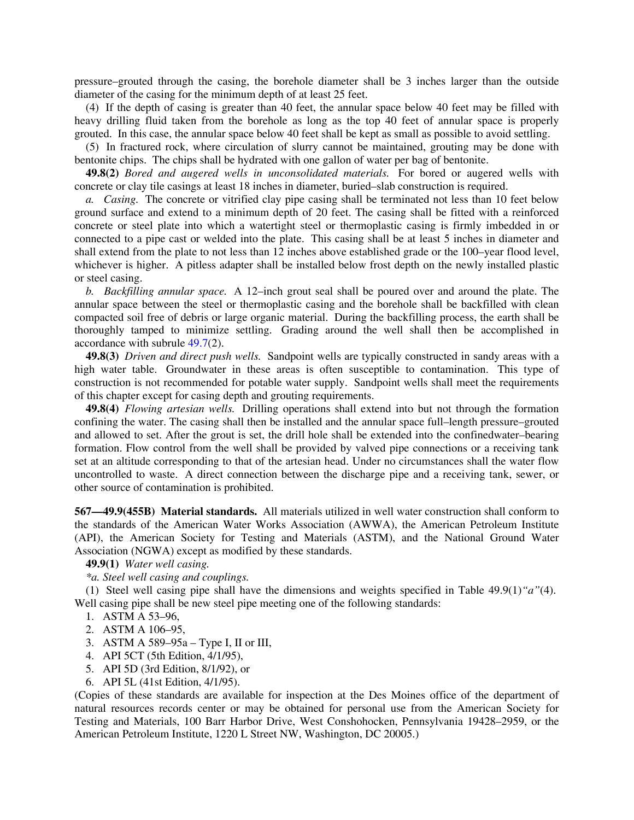pressure–grouted through the casing, the borehole diameter shall be 3 inches larger than the outside diameter of the casing for the minimum depth of at least 25 feet.

(4) If the depth of casing is greater than 40 feet, the annular space below 40 feet may be filled with heavy drilling fluid taken from the borehole as long as the top 40 feet of annular space is properly grouted. In this case, the annular space below 40 feet shall be kept as small as possible to avoid settling.

(5) In fractured rock, where circulation of slurry cannot be maintained, grouting may be done with bentonite chips. The chips shall be hydrated with one gallon of water per bag of bentonite.

**49.8(2)** *Bored and augered wells in unconsolidated materials.* For bored or augered wells with concrete or clay tile casings at least 18 inches in diameter, buried–slab construction is required.

*a. Casing.* The concrete or vitrified clay pipe casing shall be terminated not less than 10 feet below ground surface and extend to a minimum depth of 20 feet. The casing shall be fitted with a reinforced concrete or steel plate into which a watertight steel or thermoplastic casing is firmly imbedded in or connected to a pipe cast or welded into the plate. This casing shall be at least 5 inches in diameter and shall extend from the plate to not less than 12 inches above established grade or the 100–year flood level, whichever is higher. A pitless adapter shall be installed below frost depth on the newly installed plastic or steel casing.

*b. Backfilling annular space.* A 12–inch grout seal shall be poured over and around the plate. The annular space between the steel or thermoplastic casing and the borehole shall be backfilled with clean compacted soil free of debris or large organic material. During the backfilling process, the earth shall be thoroughly tamped to minimize settling. Grading around the well shall then be accomplished in accordance with subrule 49.7(2).

**49.8(3)** *Driven and direct push wells.* Sandpoint wells are typically constructed in sandy areas with a high water table. Groundwater in these areas is often susceptible to contamination. This type of construction is not recommended for potable water supply. Sandpoint wells shall meet the requirements of this chapter except for casing depth and grouting requirements.

**49.8(4)** *Flowing artesian wells.* Drilling operations shall extend into but not through the formation confining the water. The casing shall then be installed and the annular space full–length pressure–grouted and allowed to set. After the grout is set, the drill hole shall be extended into the confinedwater–bearing formation. Flow control from the well shall be provided by valved pipe connections or a receiving tank set at an altitude corresponding to that of the artesian head. Under no circumstances shall the water flow uncontrolled to waste. A direct connection between the discharge pipe and a receiving tank, sewer, or other source of contamination is prohibited.

**567—49.9(455B) Material standards.** All materials utilized in well water construction shall conform to the standards of the American Water Works Association (AWWA), the American Petroleum Institute (API), the American Society for Testing and Materials (ASTM), and the National Ground Water Association (NGWA) except as modified by these standards.

**49.9(1)** *Water well casing.*

*\*a. Steel well casing and couplings.*

(1) Steel well casing pipe shall have the dimensions and weights specified in Table 49.9(1)*"a"*(4). Well casing pipe shall be new steel pipe meeting one of the following standards:

- 1. ASTM A 53–96,
- 2. ASTM A 106–95,
- 3. ASTM A 589–95a Type I, II or III,
- 4. API 5CT (5th Edition, 4/1/95),
- 5. API 5D (3rd Edition, 8/1/92), or
- 6. API 5L (41st Edition, 4/1/95).

(Copies of these standards are available for inspection at the Des Moines office of the department of natural resources records center or may be obtained for personal use from the American Society for Testing and Materials, 100 Barr Harbor Drive, West Conshohocken, Pennsylvania 19428–2959, or the American Petroleum Institute, 1220 L Street NW, Washington, DC 20005.)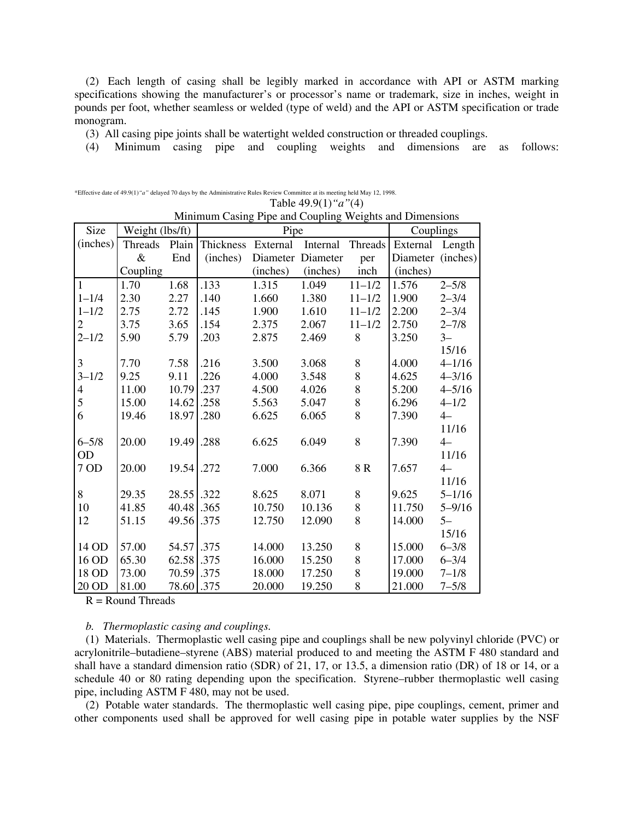(2) Each length of casing shall be legibly marked in accordance with API or ASTM marking specifications showing the manufacturer's or processor's name or trademark, size in inches, weight in pounds per foot, whether seamless or welded (type of weld) and the API or ASTM specification or trade monogram.

(3) All casing pipe joints shall be watertight welded construction or threaded couplings.

(4) Minimum casing pipe and coupling weights and dimensions are as follows:

| Minimum Casing Pipe and Coupling Weights and Dimensions |                 |            |                    |          |          |            |                   |            |
|---------------------------------------------------------|-----------------|------------|--------------------|----------|----------|------------|-------------------|------------|
| Size                                                    | Weight (lbs/ft) |            |                    | Pipe     |          | Couplings  |                   |            |
| (inches)                                                | Threads         | Plain      | Thickness External |          | Internal | Threads    | External          | Length     |
|                                                         | $\&$            | End        | (inches)           | Diameter | Diameter | per        | Diameter (inches) |            |
|                                                         | Coupling        |            |                    | (inches) | (inches) | inch       | (inches)          |            |
| $\mathbf{1}$                                            | 1.70            | 1.68       | .133               | 1.315    | 1.049    | $11 - 1/2$ | 1.576             | $2 - 5/8$  |
| $1 - 1/4$                                               | 2.30            | 2.27       | .140               | 1.660    | 1.380    | $11 - 1/2$ | 1.900             | $2 - 3/4$  |
| $1 - 1/2$                                               | 2.75            | 2.72       | .145               | 1.900    | 1.610    | $11 - 1/2$ | 2.200             | $2 - 3/4$  |
| $\mathbf{2}$                                            | 3.75            | 3.65       | .154               | 2.375    | 2.067    | $11 - 1/2$ | 2.750             | $2 - 7/8$  |
| $2 - 1/2$                                               | 5.90            | 5.79       | .203               | 2.875    | 2.469    | 8          | 3.250             | $3 -$      |
|                                                         |                 |            |                    |          |          |            |                   | 15/16      |
| 3                                                       | 7.70            | 7.58       | .216               | 3.500    | 3.068    | 8          | 4.000             | $4 - 1/16$ |
| $3 - 1/2$                                               | 9.25            | 9.11       | .226               | 4.000    | 3.548    | 8          | 4.625             | $4 - 3/16$ |
| $\overline{4}$                                          | 11.00           | 10.79      | .237               | 4.500    | 4.026    | 8          | 5.200             | $4 - 5/16$ |
| 5                                                       | 15.00           | 14.62      | .258               | 5.563    | 5.047    | 8          | 6.296             | $4 - 1/2$  |
| 6                                                       | 19.46           | 18.97      | .280               | 6.625    | 6.065    | 8          | 7.390             | $4-$       |
|                                                         |                 |            |                    |          |          |            |                   | 11/16      |
| $6 - 5/8$                                               | 20.00           | 19.49      | .288               | 6.625    | 6.049    | 8          | 7.390             | $4-$       |
| <b>OD</b>                                               |                 |            |                    |          |          |            |                   | 11/16      |
| 7 OD                                                    | 20.00           | 19.54      | .272               | 7.000    | 6.366    | $8R$       | 7.657             | $4-$       |
|                                                         |                 |            |                    |          |          |            |                   | 11/16      |
| 8                                                       | 29.35           | 28.55      | .322               | 8.625    | 8.071    | $8\,$      | 9.625             | $5 - 1/16$ |
| 10                                                      | 41.85           | 40.48 .365 |                    | 10.750   | 10.136   | 8          | 11.750            | $5 - 9/16$ |
| 12                                                      | 51.15           | 49.56      | .375               | 12.750   | 12.090   | 8          | 14.000            | $5-$       |
|                                                         |                 |            |                    |          |          |            |                   | 15/16      |
| 14 OD                                                   | 57.00           | 54.57 .375 |                    | 14.000   | 13.250   | 8          | 15.000            | $6 - 3/8$  |
| 16 OD                                                   | 65.30           | 62.58 .375 |                    | 16.000   | 15.250   | 8          | 17.000            | $6 - 3/4$  |
| 18 OD                                                   | 73.00           | 70.59      | .375               | 18.000   | 17.250   | 8          | 19.000            | $7 - 1/8$  |
| 20 OD                                                   | 81.00           | 78.60 .375 |                    | 20.000   | 19.250   | 8          | 21.000            | $7 - 5/8$  |

\*Effective date of 49.9(1)*"a"* delayed 70 days by the Administrative Rules Review Committee at its meeting held May 12, 1998. Table 49.9(1)*"a"*(4)

 $R =$  Round Threads

### *b. Thermoplastic casing and couplings.*

(1) Materials. Thermoplastic well casing pipe and couplings shall be new polyvinyl chloride (PVC) or acrylonitrile–butadiene–styrene (ABS) material produced to and meeting the ASTM F 480 standard and shall have a standard dimension ratio (SDR) of 21, 17, or 13.5, a dimension ratio (DR) of 18 or 14, or a schedule 40 or 80 rating depending upon the specification. Styrene–rubber thermoplastic well casing pipe, including ASTM F 480, may not be used.

(2) Potable water standards. The thermoplastic well casing pipe, pipe couplings, cement, primer and other components used shall be approved for well casing pipe in potable water supplies by the NSF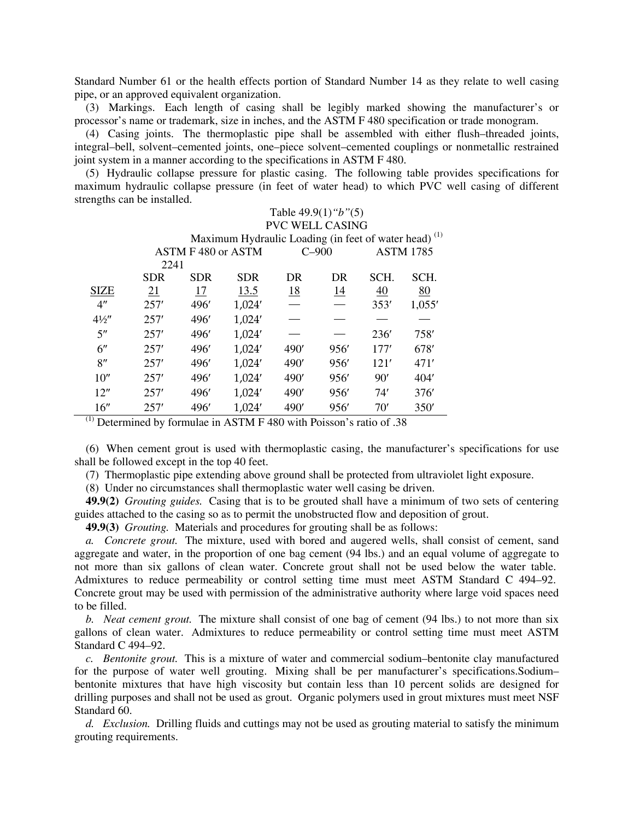Standard Number 61 or the health effects portion of Standard Number 14 as they relate to well casing pipe, or an approved equivalent organization.

(3) Markings. Each length of casing shall be legibly marked showing the manufacturer's or processor's name or trademark, size in inches, and the ASTM F 480 specification or trade monogram.

(4) Casing joints. The thermoplastic pipe shall be assembled with either flush–threaded joints, integral–bell, solvent–cemented joints, one–piece solvent–cemented couplings or nonmetallic restrained joint system in a manner according to the specifications in ASTM F 480.

(5) Hydraulic collapse pressure for plastic casing. The following table provides specifications for maximum hydraulic collapse pressure (in feet of water head) to which PVC well casing of different strengths can be installed.

|                |                                                   | Table $49.9(1)$ " $b$ " $(5)$ "                                  |            |           |           |      |        |  |  |  |
|----------------|---------------------------------------------------|------------------------------------------------------------------|------------|-----------|-----------|------|--------|--|--|--|
|                | <b>PVC WELL CASING</b>                            |                                                                  |            |           |           |      |        |  |  |  |
|                |                                                   | Maximum Hydraulic Loading (in feet of water head) <sup>(1)</sup> |            |           |           |      |        |  |  |  |
|                | ASTM F 480 or ASTM<br>$C-900$<br><b>ASTM 1785</b> |                                                                  |            |           |           |      |        |  |  |  |
|                | 2241                                              |                                                                  |            |           |           |      |        |  |  |  |
|                | <b>SDR</b>                                        | <b>SDR</b>                                                       | <b>SDR</b> | DR        | DR        | SCH. | SCH.   |  |  |  |
| <b>SIZE</b>    | <u>21</u>                                         | 17                                                               | 13.5       | <u>18</u> | <u>14</u> | 40   | 80     |  |  |  |
| 4"             | 257'                                              | 496'                                                             | 1,024'     |           |           | 353' | 1,055' |  |  |  |
| $4\frac{1}{2}$ | 257'                                              | 496'                                                             | 1,024'     |           |           |      |        |  |  |  |
| 5"             | 257'                                              | 496'                                                             | 1,024'     |           |           | 236' | 758'   |  |  |  |
| 6"             | 257'                                              | 496'                                                             | 1,024'     | 490'      | 956'      | 177' | 678'   |  |  |  |
| 8"             | 257'                                              | 496'                                                             | 1,024'     | 490'      | 956'      | 121' | 471'   |  |  |  |
| 10''           | 257'                                              | 496'                                                             | 1,024'     | 490'      | 956'      | 90'  | 404'   |  |  |  |
| 12"            | 257'                                              | 496'                                                             | 1,024'     | 490'      | 956'      | 74'  | 376'   |  |  |  |
| 16''           | 257'                                              | 496'                                                             | 1,024'     | 490'      | 956'      | 70'  | 350'   |  |  |  |

 $<sup>(1)</sup>$  Determined by formulae in ASTM F 480 with Poisson's ratio of .38</sup>

(6) When cement grout is used with thermoplastic casing, the manufacturer's specifications for use shall be followed except in the top 40 feet.

(7) Thermoplastic pipe extending above ground shall be protected from ultraviolet light exposure.

(8) Under no circumstances shall thermoplastic water well casing be driven.

**49.9(2)** *Grouting guides.* Casing that is to be grouted shall have a minimum of two sets of centering guides attached to the casing so as to permit the unobstructed flow and deposition of grout.

**49.9(3)** *Grouting.* Materials and procedures for grouting shall be as follows:

*a. Concrete grout.* The mixture, used with bored and augered wells, shall consist of cement, sand aggregate and water, in the proportion of one bag cement (94 lbs.) and an equal volume of aggregate to not more than six gallons of clean water. Concrete grout shall not be used below the water table. Admixtures to reduce permeability or control setting time must meet ASTM Standard C 494–92. Concrete grout may be used with permission of the administrative authority where large void spaces need to be filled.

*b. Neat cement grout.* The mixture shall consist of one bag of cement (94 lbs.) to not more than six gallons of clean water. Admixtures to reduce permeability or control setting time must meet ASTM Standard C 494–92.

*c. Bentonite grout.* This is a mixture of water and commercial sodium–bentonite clay manufactured for the purpose of water well grouting. Mixing shall be per manufacturer's specifications.Sodium– bentonite mixtures that have high viscosity but contain less than 10 percent solids are designed for drilling purposes and shall not be used as grout. Organic polymers used in grout mixtures must meet NSF Standard 60.

*d. Exclusion.* Drilling fluids and cuttings may not be used as grouting material to satisfy the minimum grouting requirements.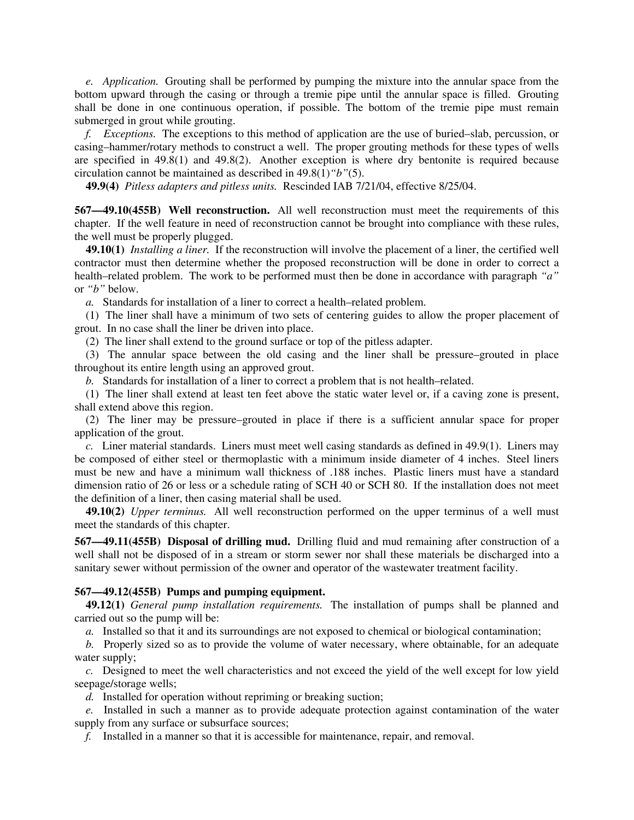*e. Application.* Grouting shall be performed by pumping the mixture into the annular space from the bottom upward through the casing or through a tremie pipe until the annular space is filled. Grouting shall be done in one continuous operation, if possible. The bottom of the tremie pipe must remain submerged in grout while grouting.

*f. Exceptions.* The exceptions to this method of application are the use of buried–slab, percussion, or casing–hammer/rotary methods to construct a well. The proper grouting methods for these types of wells are specified in 49.8(1) and 49.8(2). Another exception is where dry bentonite is required because circulation cannot be maintained as described in 49.8(1)*"b"*(5).

**49.9(4)** *Pitless adapters and pitless units.* Rescinded IAB 7/21/04, effective 8/25/04.

**567—49.10(455B) Well reconstruction.** All well reconstruction must meet the requirements of this chapter. If the well feature in need of reconstruction cannot be brought into compliance with these rules, the well must be properly plugged.

**49.10(1)** *Installing a liner.* If the reconstruction will involve the placement of a liner, the certified well contractor must then determine whether the proposed reconstruction will be done in order to correct a health–related problem. The work to be performed must then be done in accordance with paragraph *"a"* or *"b"* below.

*a.* Standards for installation of a liner to correct a health–related problem.

(1) The liner shall have a minimum of two sets of centering guides to allow the proper placement of grout. In no case shall the liner be driven into place.

(2) The liner shall extend to the ground surface or top of the pitless adapter.

(3) The annular space between the old casing and the liner shall be pressure–grouted in place throughout its entire length using an approved grout.

*b.* Standards for installation of a liner to correct a problem that is not health–related.

(1) The liner shall extend at least ten feet above the static water level or, if a caving zone is present, shall extend above this region.

(2) The liner may be pressure–grouted in place if there is a sufficient annular space for proper application of the grout.

*c.* Liner material standards. Liners must meet well casing standards as defined in 49.9(1). Liners may be composed of either steel or thermoplastic with a minimum inside diameter of 4 inches. Steel liners must be new and have a minimum wall thickness of .188 inches. Plastic liners must have a standard dimension ratio of 26 or less or a schedule rating of SCH 40 or SCH 80. If the installation does not meet the definition of a liner, then casing material shall be used.

**49.10(2)** *Upper terminus.* All well reconstruction performed on the upper terminus of a well must meet the standards of this chapter.

**567—49.11(455B) Disposal of drilling mud.**Drilling fluid and mud remaining after construction of a well shall not be disposed of in a stream or storm sewer nor shall these materials be discharged into a sanitary sewer without permission of the owner and operator of the wastewater treatment facility.

## **567—49.12(455B) Pumps and pumping equipment.**

**49.12(1)** *General pump installation requirements.* The installation of pumps shall be planned and carried out so the pump will be:

*a.* Installed so that it and its surroundings are not exposed to chemical or biological contamination;

*b.* Properly sized so as to provide the volume of water necessary, where obtainable, for an adequate water supply;

*c.* Designed to meet the well characteristics and not exceed the yield of the well except for low yield seepage/storage wells;

*d.* Installed for operation without repriming or breaking suction;

*e.* Installed in such a manner as to provide adequate protection against contamination of the water supply from any surface or subsurface sources;

*f.* Installed in a manner so that it is accessible for maintenance, repair, and removal.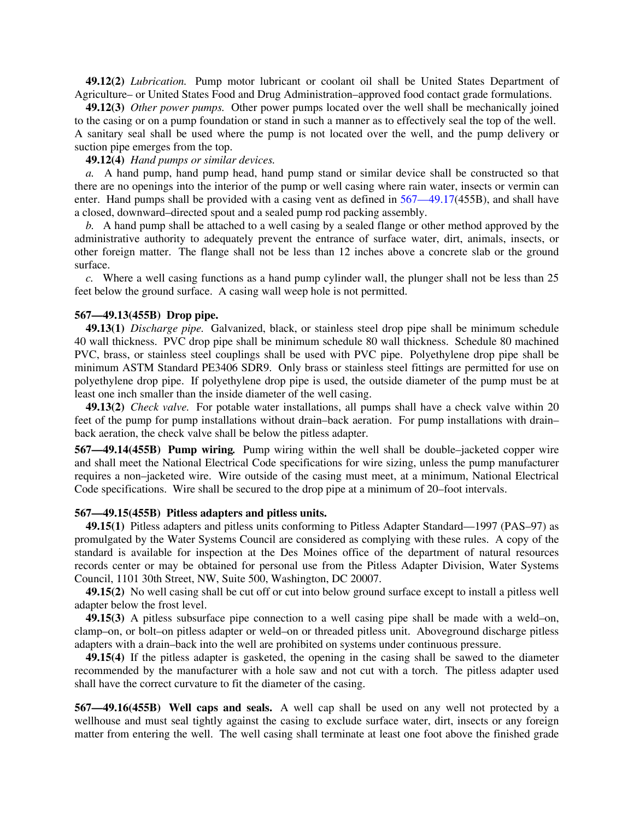**49.12(2)** *Lubrication.* Pump motor lubricant or coolant oil shall be United States Department of Agriculture– or United States Food and Drug Administration–approved food contact grade formulations.

**49.12(3)** *Other power pumps.* Other power pumps located over the well shall be mechanically joined to the casing or on a pump foundation or stand in such a manner as to effectively seal the top of the well. A sanitary seal shall be used where the pump is not located over the well, and the pump delivery or suction pipe emerges from the top.

**49.12(4)** *Hand pumps or similar devices.*

*a.* A hand pump, hand pump head, hand pump stand or similar device shall be constructed so that there are no openings into the interior of the pump or well casing where rain water, insects or vermin can enter. Hand pumps shall be provided with a casing vent as defined in  $567-49.17(455B)$ , and shall have a closed, downward–directed spout and a sealed pump rod packing assembly.

*b.* A hand pump shall be attached to a well casing by a sealed flange or other method approved by the administrative authority to adequately prevent the entrance of surface water, dirt, animals, insects, or other foreign matter. The flange shall not be less than 12 inches above a concrete slab or the ground surface.

*c.* Where a well casing functions as a hand pump cylinder wall, the plunger shall not be less than 25 feet below the ground surface. A casing wall weep hole is not permitted.

# **567—49.13(455B) Drop pipe.**

**49.13(1)** *Discharge pipe.* Galvanized, black, or stainless steel drop pipe shall be minimum schedule 40 wall thickness. PVC drop pipe shall be minimum schedule 80 wall thickness. Schedule 80 machined PVC, brass, or stainless steel couplings shall be used with PVC pipe. Polyethylene drop pipe shall be minimum ASTM Standard PE3406 SDR9. Only brass or stainless steel fittings are permitted for use on polyethylene drop pipe. If polyethylene drop pipe is used, the outside diameter of the pump must be at least one inch smaller than the inside diameter of the well casing.

**49.13(2)** *Check valve.* For potable water installations, all pumps shall have a check valve within 20 feet of the pump for pump installations without drain–back aeration. For pump installations with drain– back aeration, the check valve shall be below the pitless adapter.

**567—49.14(455B) Pump wiring***.* Pump wiring within the well shall be double–jacketed copper wire and shall meet the National Electrical Code specifications for wire sizing, unless the pump manufacturer requires a non–jacketed wire. Wire outside of the casing must meet, at a minimum, National Electrical Code specifications. Wire shall be secured to the drop pipe at a minimum of 20–foot intervals.

### **567—49.15(455B) Pitless adapters and pitless units.**

**49.15(1)** Pitless adapters and pitless units conforming to Pitless Adapter Standard—1997 (PAS–97) as promulgated by the Water Systems Council are considered as complying with these rules. A copy of the standard is available for inspection at the Des Moines office of the department of natural resources records center or may be obtained for personal use from the Pitless Adapter Division, Water Systems Council, 1101 30th Street, NW, Suite 500, Washington, DC 20007.

**49.15(2)** No well casing shall be cut off or cut into below ground surface except to install a pitless well adapter below the frost level.

**49.15(3)** A pitless subsurface pipe connection to a well casing pipe shall be made with a weld–on, clamp–on, or bolt–on pitless adapter or weld–on or threaded pitless unit. Aboveground discharge pitless adapters with a drain–back into the well are prohibited on systems under continuous pressure.

**49.15(4)** If the pitless adapter is gasketed, the opening in the casing shall be sawed to the diameter recommended by the manufacturer with a hole saw and not cut with a torch. The pitless adapter used shall have the correct curvature to fit the diameter of the casing.

**567—49.16(455B) Well caps and seals.** A well cap shall be used on any well not protected by a wellhouse and must seal tightly against the casing to exclude surface water, dirt, insects or any foreign matter from entering the well. The well casing shall terminate at least one foot above the finished grade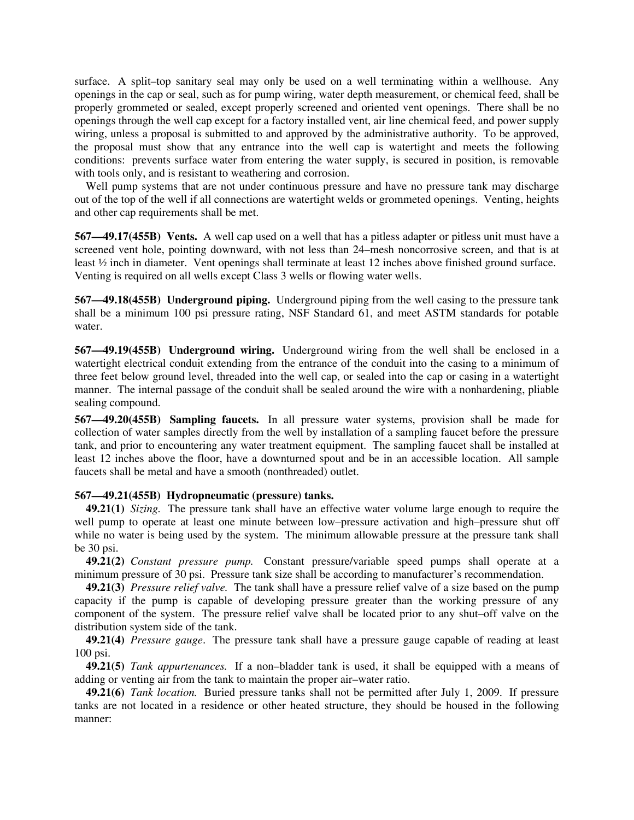surface. A split–top sanitary seal may only be used on a well terminating within a wellhouse. Any openings in the cap or seal, such as for pump wiring, water depth measurement, or chemical feed, shall be properly grommeted or sealed, except properly screened and oriented vent openings. There shall be no openings through the well cap except for a factory installed vent, air line chemical feed, and power supply wiring, unless a proposal is submitted to and approved by the administrative authority. To be approved, the proposal must show that any entrance into the well cap is watertight and meets the following conditions: prevents surface water from entering the water supply, is secured in position, is removable with tools only, and is resistant to weathering and corrosion.

Well pump systems that are not under continuous pressure and have no pressure tank may discharge out of the top of the well if all connections are watertight welds or grommeted openings. Venting, heights and other cap requirements shall be met.

**567—49.17(455B) Vents.** A well cap used on a well that has a pitless adapter or pitless unit must have a screened vent hole, pointing downward, with not less than 24–mesh noncorrosive screen, and that is at least ½ inch in diameter. Vent openings shall terminate at least 12 inches above finished ground surface. Venting is required on all wells except Class 3 wells or flowing water wells.

**567—49.18(455B) Underground piping.** Underground piping from the well casing to the pressure tank shall be a minimum 100 psi pressure rating, NSF Standard 61, and meet ASTM standards for potable water.

**567—49.19(455B) Underground wiring.** Underground wiring from the well shall be enclosed in a watertight electrical conduit extending from the entrance of the conduit into the casing to a minimum of three feet below ground level, threaded into the well cap, or sealed into the cap or casing in a watertight manner. The internal passage of the conduit shall be sealed around the wire with a nonhardening, pliable sealing compound.

**567—49.20(455B) Sampling faucets.** In all pressure water systems, provision shall be made for collection of water samples directly from the well by installation of a sampling faucet before the pressure tank, and prior to encountering any water treatment equipment. The sampling faucet shall be installed at least 12 inches above the floor, have a downturned spout and be in an accessible location. All sample faucets shall be metal and have a smooth (nonthreaded) outlet.

## **567—49.21(455B) Hydropneumatic (pressure) tanks.**

**49.21(1)** *Sizing.* The pressure tank shall have an effective water volume large enough to require the well pump to operate at least one minute between low–pressure activation and high–pressure shut off while no water is being used by the system. The minimum allowable pressure at the pressure tank shall be 30 psi.

**49.21(2)** *Constant pressure pump.* Constant pressure/variable speed pumps shall operate at a minimum pressure of 30 psi. Pressure tank size shall be according to manufacturer's recommendation.

**49.21(3)** *Pressure relief valve.* The tank shall have a pressure relief valve of a size based on the pump capacity if the pump is capable of developing pressure greater than the working pressure of any component of the system. The pressure relief valve shall be located prior to any shut–off valve on the distribution system side of the tank.

**49.21(4)** *Pressure gauge*. The pressure tank shall have a pressure gauge capable of reading at least 100 psi.

**49.21(5)** *Tank appurtenances.* If a non–bladder tank is used, it shall be equipped with a means of adding or venting air from the tank to maintain the proper air–water ratio.

**49.21(6)** *Tank location.* Buried pressure tanks shall not be permitted after July 1, 2009. If pressure tanks are not located in a residence or other heated structure, they should be housed in the following manner: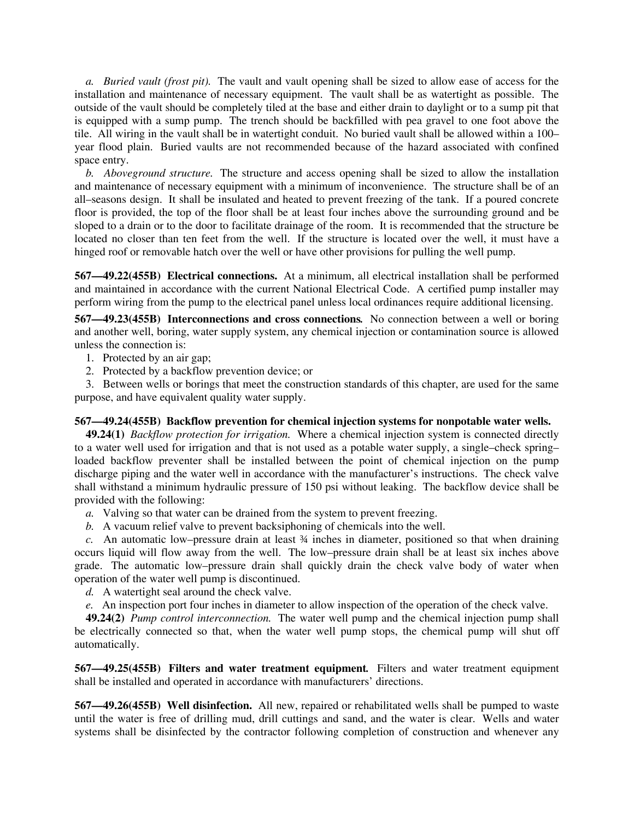*a. Buried vault (frost pit).* The vault and vault opening shall be sized to allow ease of access for the installation and maintenance of necessary equipment. The vault shall be as watertight as possible. The outside of the vault should be completely tiled at the base and either drain to daylight or to a sump pit that is equipped with a sump pump. The trench should be backfilled with pea gravel to one foot above the tile. All wiring in the vault shall be in watertight conduit. No buried vault shall be allowed within a 100– year flood plain. Buried vaults are not recommended because of the hazard associated with confined space entry.

*b. Aboveground structure.* The structure and access opening shall be sized to allow the installation and maintenance of necessary equipment with a minimum of inconvenience. The structure shall be of an all–seasons design. It shall be insulated and heated to prevent freezing of the tank. If a poured concrete floor is provided, the top of the floor shall be at least four inches above the surrounding ground and be sloped to a drain or to the door to facilitate drainage of the room. It is recommended that the structure be located no closer than ten feet from the well. If the structure is located over the well, it must have a hinged roof or removable hatch over the well or have other provisions for pulling the well pump.

**567—49.22(455B) Electrical connections.** At a minimum, all electrical installation shall be performed and maintained in accordance with the current National Electrical Code. A certified pump installer may perform wiring from the pump to the electrical panel unless local ordinances require additional licensing.

**567—49.23(455B) Interconnections and cross connections***.* No connection between a well or boring and another well, boring, water supply system, any chemical injection or contamination source is allowed unless the connection is:

1. Protected by an air gap;

2. Protected by a backflow prevention device; or

3. Between wells or borings that meet the construction standards of this chapter, are used for the same purpose, and have equivalent quality water supply.

# **567—49.24(455B) Backflow prevention for chemical injection systems for nonpotable water wells.**

**49.24(1)** *Backflow protection for irrigation.* Where a chemical injection system is connected directly to a water well used for irrigation and that is not used as a potable water supply, a single–check spring– loaded backflow preventer shall be installed between the point of chemical injection on the pump discharge piping and the water well in accordance with the manufacturer's instructions. The check valve shall withstand a minimum hydraulic pressure of 150 psi without leaking. The backflow device shall be provided with the following:

*a.* Valving so that water can be drained from the system to prevent freezing.

*b.* A vacuum relief valve to prevent backsiphoning of chemicals into the well.

*c.* An automatic low–pressure drain at least ¾ inches in diameter, positioned so that when draining occurs liquid will flow away from the well. The low–pressure drain shall be at least six inches above grade. The automatic low–pressure drain shall quickly drain the check valve body of water when operation of the water well pump is discontinued.

*d.* A watertight seal around the check valve.

*e.* An inspection port four inches in diameter to allow inspection of the operation of the check valve.

**49.24(2)** *Pump control interconnection.* The water well pump and the chemical injection pump shall be electrically connected so that, when the water well pump stops, the chemical pump will shut off automatically.

**567—49.25(455B) Filters and water treatment equipment***.* Filters and water treatment equipment shall be installed and operated in accordance with manufacturers' directions.

**567—49.26(455B) Well disinfection.** All new, repaired or rehabilitated wells shall be pumped to waste until the water is free of drilling mud, drill cuttings and sand, and the water is clear. Wells and water systems shall be disinfected by the contractor following completion of construction and whenever any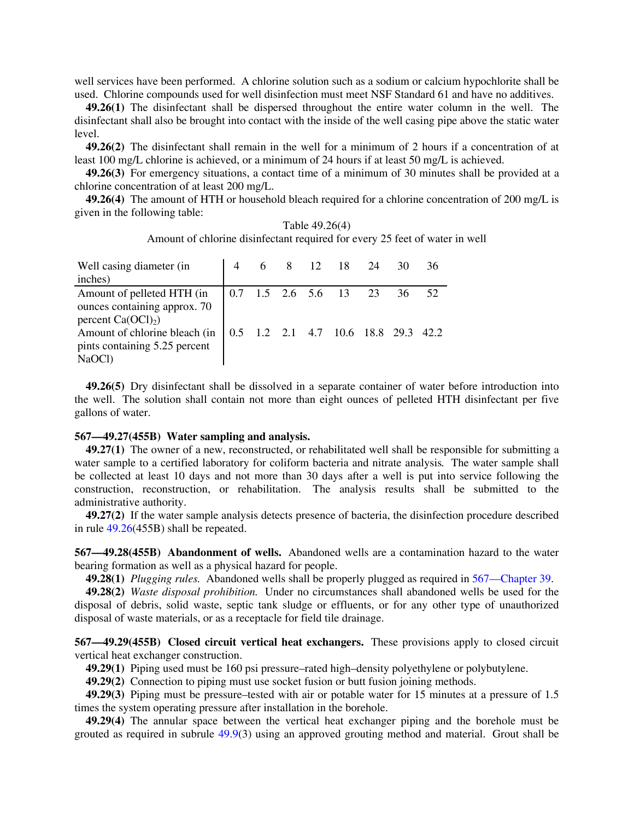well services have been performed. A chlorine solution such as a sodium or calcium hypochlorite shall be used. Chlorine compounds used for well disinfection must meet NSF Standard 61 and have no additives.

**49.26(1)** The disinfectant shall be dispersed throughout the entire water column in the well. The disinfectant shall also be brought into contact with the inside of the well casing pipe above the static water level.

**49.26(2)** The disinfectant shall remain in the well for a minimum of 2 hours if a concentration of at least 100 mg/L chlorine is achieved, or a minimum of 24 hours if at least 50 mg/L is achieved.

**49.26(3)** For emergency situations, a contact time of a minimum of 30 minutes shall be provided at a chlorine concentration of at least 200 mg/L.

**49.26(4)** The amount of HTH or household bleach required for a chlorine concentration of 200 mg/L is given in the following table:

| Table 49.26(4)                                                              |  |  |  |
|-----------------------------------------------------------------------------|--|--|--|
| Amount of chlorine disinfectant required for every 25 feet of water in well |  |  |  |

| Well casing diameter (in<br>inches)                                      |  |  | 6 8 12 18 24                        | 30 | 36  |
|--------------------------------------------------------------------------|--|--|-------------------------------------|----|-----|
|                                                                          |  |  |                                     |    |     |
| Amount of pelleted HTH (in                                               |  |  | $0.7$ 1.5 2.6 5.6 13 23             | 36 | 52. |
| ounces containing approx. 70<br>percent $Ca(OCl)2$ )                     |  |  |                                     |    |     |
| Amount of chlorine bleach (in<br>pints containing 5.25 percent<br>NaOCl) |  |  | 0.5 1.2 2.1 4.7 10.6 18.8 29.3 42.2 |    |     |

**49.26(5)** Dry disinfectant shall be dissolved in a separate container of water before introduction into the well. The solution shall contain not more than eight ounces of pelleted HTH disinfectant per five gallons of water.

### **567—49.27(455B) Water sampling and analysis.**

**49.27(1)** The owner of a new, reconstructed, or rehabilitated well shall be responsible for submitting a water sample to a certified laboratory for coliform bacteria and nitrate analysis*.* The water sample shall be collected at least 10 days and not more than 30 days after a well is put into service following the construction, reconstruction, or rehabilitation. The analysis results shall be submitted to the administrative authority.

**49.27(2)** If the water sample analysis detects presence of bacteria, the disinfection procedure described in rule 49.26(455B) shall be repeated.

**567—49.28(455B) Abandonment of wells.** Abandoned wells are a contamination hazard to the water bearing formation as well as a physical hazard for people.

**49.28(1)** *Plugging rules.* Abandoned wells shall be properly plugged as required in 567—Chapter 39.

**49.28(2)** *Waste disposal prohibition.* Under no circumstances shall abandoned wells be used for the disposal of debris, solid waste, septic tank sludge or effluents, or for any other type of unauthorized disposal of waste materials, or as a receptacle for field tile drainage.

**567—49.29(455B) Closed circuit vertical heat exchangers.** These provisions apply to closed circuit vertical heat exchanger construction.

**49.29(1)** Piping used must be 160 psi pressure–rated high–density polyethylene or polybutylene.

**49.29(2)** Connection to piping must use socket fusion or butt fusion joining methods.

**49.29(3)** Piping must be pressure–tested with air or potable water for 15 minutes at a pressure of 1.5 times the system operating pressure after installation in the borehole.

**49.29(4)** The annular space between the vertical heat exchanger piping and the borehole must be grouted as required in subrule 49.9(3) using an approved grouting method and material. Grout shall be